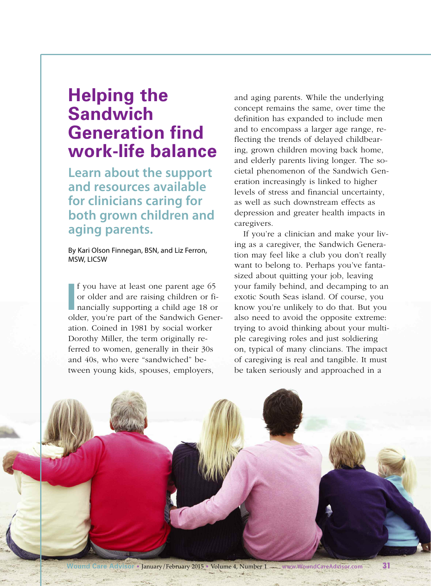# **Helping the Sandwich Generation find work-life balance**

**Learn about the support and resources available for clinicians caring for both grown children and aging parents.**

By Kari Olson Finnegan, BSN, and Liz Ferron, MSW, LICSW

**I** f you have at least one parent age 65 or older and are raising children or financially supporting a child age 18 or older, vou're part of the Sandwich Generf you have at least one parent age 65 or older and are raising children or financially supporting a child age 18 or ation. Coined in 1981 by social worker Dorothy Miller, the term originally referred to women, generally in their 30s and 40s, who were "sandwiched" between young kids, spouses, employers,

and aging parents. While the underlying concept remains the same, over time the definition has expanded to include men and to encompass a larger age range, reflecting the trends of delayed childbearing, grown children moving back home, and elderly parents living longer. The societal phenomenon of the Sandwich Generation increasingly is linked to higher levels of stress and financial uncertainty, as well as such downstream effects as depression and greater health impacts in caregivers.

If you're a clinician and make your living as a caregiver, the Sandwich Generation may feel like a club you don't really want to belong to. Perhaps you've fantasized about quitting your job, leaving your family behind, and decamping to an exotic South Seas island. Of course, you know you're unlikely to do that. But you also need to avoid the opposite extreme: trying to avoid thinking about your multiple caregiving roles and just soldiering on, typical of many clincians. The impact of caregiving is real and tangible. It must be taken seriously and approached in a

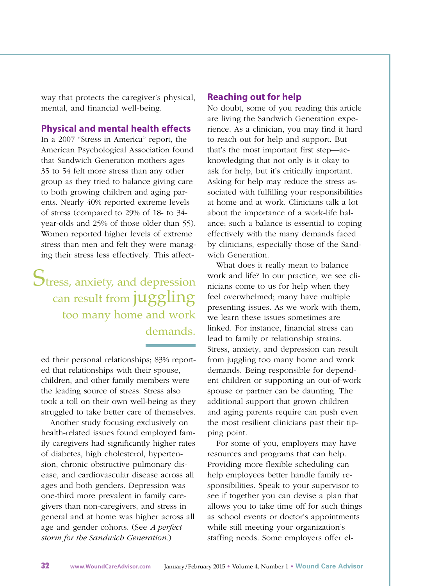way that protects the caregiver's physical, mental, and financial well-being.

## **Physical and mental health effects**

In a 2007 "Stress in America" report, the American Psychological Association found that Sandwich Generation mothers ages 35 to 54 felt more stress than any other group as they tried to balance giving care to both growing children and aging parents. Nearly 40% reported extreme levels of stress (compared to 29% of 18- to 34 year-olds and 25% of those older than 55). Women reported higher levels of extreme stress than men and felt they were managing their stress less effectively. This affect-

Stress, anxiety, and depression can result from juggling too many home and work demands.

ed their personal relationships; 83% reported that relationships with their spouse, children, and other family members were the leading source of stress. Stress also took a toll on their own well-being as they struggled to take better care of themselves.

Another study focusing exclusively on health-related issues found employed family caregivers had significantly higher rates of diabetes, high cholesterol, hypertension, chronic obstructive pulmonary disease, and cardiovascular disease across all ages and both genders. Depression was one-third more prevalent in family caregivers than non-caregivers, and stress in general and at home was higher across all age and gender cohorts. (See *A perfect storm for the Sandwich Generation*.)

### **Reaching out for help**

No doubt, some of you reading this article are living the Sandwich Generation experience. As a clinician, you may find it hard to reach out for help and support. But that's the most important first step—acknowledging that not only is it okay to ask for help, but it's critically important. Asking for help may reduce the stress associated with fulfilling your responsibilities at home and at work. Clinicians talk a lot about the importance of a work-life balance; such a balance is essential to coping effectively with the many demands faced by clinicians, especially those of the Sandwich Generation.

What does it really mean to balance work and life? In our practice, we see clinicians come to us for help when they feel overwhelmed; many have multiple presenting issues. As we work with them, we learn these issues sometimes are linked. For instance, financial stress can lead to family or relationship strains. Stress, anxiety, and depression can result from juggling too many home and work demands. Being responsible for dependent children or supporting an out-of-work spouse or partner can be daunting. The additional support that grown children and aging parents require can push even the most resilient clinicians past their tipping point.

For some of you, employers may have resources and programs that can help. Providing more flexible scheduling can help employees better handle family responsibilities. Speak to your supervisor to see if together you can devise a plan that allows you to take time off for such things as school events or doctor's appointments while still meeting your organization's staffing needs. Some employers offer el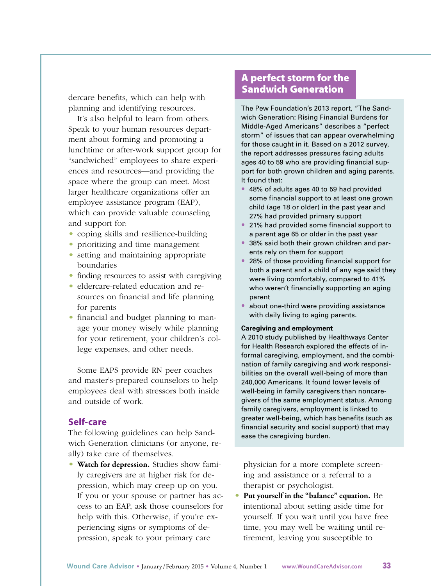dercare benefits, which can help with planning and identifying resources.

It's also helpful to learn from others. Speak to your human resources department about forming and promoting a lunchtime or after-work support group for "sandwiched" employees to share experiences and resources—and providing the space where the group can meet. Most larger healthcare organizations offer an employee assistance program (EAP), which can provide valuable counseling and support for:

- coping skills and resilience-building
- prioritizing and time management
- setting and maintaining appropriate boundaries
- finding resources to assist with caregiving
- eldercare-related education and resources on financial and life planning for parents
- financial and budget planning to manage your money wisely while planning for your retirement, your children's college expenses, and other needs.

Some EAPS provide RN peer coaches and master's-prepared counselors to help employees deal with stressors both inside and outside of work.

## **Self-care**

The following guidelines can help Sandwich Generation clinicians (or anyone, really) take care of themselves.

• **Watch for depression.** Studies show family caregivers are at higher risk for depression, which may creep up on you. If you or your spouse or partner has access to an EAP, ask those counselors for help with this. Otherwise, if you're experiencing signs or symptoms of depression, speak to your primary care

## **A perfect storm for the Sandwich Generation**

The Pew Foundation's 2013 report, "The Sandwich Generation: Rising Financial Burdens for Middle-Aged Americans" describes a "perfect storm" of issues that can appear overwhelming for those caught in it. Based on a 2012 survey, the report addresses pressures facing adults ages 40 to 59 who are providing financial support for both grown children and aging parents. It found that:

- **•** 48% of adults ages 40 to 59 had provided some financial support to at least one grown child (age 18 or older) in the past year and 27% had provided primary support
- **•** 21% had provided some financial support to a parent age 65 or older in the past year
- **•** 38% said both their grown children and parents rely on them for support
- **•** 28% of those providing financial support for both a parent and a child of any age said they were living comfortably, compared to 41% who weren't financially supporting an aging parent
- **•** about one-third were providing assistance with daily living to aging parents.

#### **Caregiving and employment**

A 2010 study published by Healthways Center for Health Research explored the effects of informal caregiving, employment, and the combination of family caregiving and work responsibilities on the overall well-being of more than 240,000 Americans. It found lower levels of well-being in family caregivers than noncaregivers of the same employment status. Among family caregivers, employment is linked to greater well-being, which has benefits (such as financial security and social support) that may ease the caregiving burden.

physician for a more complete screening and assistance or a referral to a therapist or psychologist.

• **Put yourself in the "balance" equation.** Be intentional about setting aside time for yourself. If you wait until you have free time, you may well be waiting until retirement, leaving you susceptible to